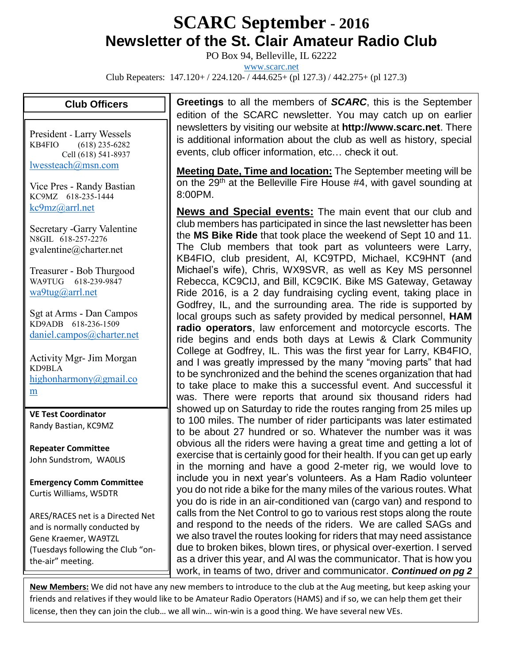## **SCARC September - <sup>2016</sup> Newsletter of the St. Clair Amateur Radio Club**

PO Box 94, Belleville, IL 62222

[www.scarc.net](http://www.scarc.net/)

Club Repeaters: 147.120+ / 224.120- / 444.625+ (pl 127.3) / 442.275+ (pl 127.3)

## **Club Officers**

President - Larry Wessels KB4FIO (618) 235-6282 Cell (618) 541-8937 [lwessteach@msn.com](mailto:lwessteach@msn.com)

Vice Pres - Randy Bastian KC9MZ 618-235-1444 [kc9mz@arrl.net](mailto:kc9mz@arrl.net)

Secretary -Garry Valentine N8GIL 618-257-2276 gvalentine@charter.net

Treasurer - Bob Thurgood WA9TUG 618-239-9847 [wa9tug@arrl.net](mailto:wa9tug@arrl.net)

Sgt at Arms - Dan Campos KD9ADB 618-236-1509 [daniel.campos@charter.net](mailto:daniel.campos@charter.net)

Activity Mgr- Jim Morgan KD9BLA [highonharmony@gmail.co](mailto:highonharmony@gmail.com) [m](mailto:highonharmony@gmail.com)

**VE Test Coordinator** Randy Bastian, KC9MZ

**Repeater Committee** John Sundstrom, WA0LIS

**Emergency Comm Committee** Curtis Williams, W5DTR

ARES/RACES net is a Directed Net and is normally conducted by Gene Kraemer, WA9TZL (Tuesdays following the Club "onthe-air" meeting.

**Greetings** to all the members of *SCARC*, this is the September edition of the SCARC newsletter. You may catch up on earlier newsletters by visiting our website at **http://www.scarc.net**. There is additional information about the club as well as history, special events, club officer information, etc… check it out.

**Meeting Date, Time and location:** The September meeting will be on the 29<sup>th</sup> at the Belleville Fire House #4, with gavel sounding at 8:00PM.

**News and Special events:** The main event that our club and club members has participated in since the last newsletter has been the **MS Bike Ride** that took place the weekend of Sept 10 and 11. The Club members that took part as volunteers were Larry, KB4FIO, club president, Al, KC9TPD, Michael, KC9HNT (and Michael's wife), Chris, WX9SVR, as well as Key MS personnel Rebecca, KC9CIJ, and Bill, KC9CIK. Bike MS Gateway, Getaway Ride 2016, is a 2 day fundraising cycling event, taking place in Godfrey, IL, and the surrounding area. The ride is supported by local groups such as safety provided by medical personnel, **HAM radio operators**, law enforcement and motorcycle escorts. The ride begins and ends both days at Lewis & Clark Community College at Godfrey, IL. This was the first year for Larry, KB4FIO, and I was greatly impressed by the many "moving parts" that had to be synchronized and the behind the scenes organization that had to take place to make this a successful event. And successful it was. There were reports that around six thousand riders had showed up on Saturday to ride the routes ranging from 25 miles up to 100 miles. The number of rider participants was later estimated to be about 27 hundred or so. Whatever the number was it was obvious all the riders were having a great time and getting a lot of exercise that is certainly good for their health. If you can get up early in the morning and have a good 2-meter rig, we would love to include you in next year's volunteers. As a Ham Radio volunteer you do not ride a bike for the many miles of the various routes. What you do is ride in an air-conditioned van (cargo van) and respond to calls from the Net Control to go to various rest stops along the route and respond to the needs of the riders. We are called SAGs and we also travel the routes looking for riders that may need assistance due to broken bikes, blown tires, or physical over-exertion. I served as a driver this year, and Al was the communicator. That is how you work, in teams of two, driver and communicator. *Continued on pg 2*

**New Members:** We did not have any new members to introduce to the club at the Aug meeting, but keep asking your friends and relatives if they would like to be Amateur Radio Operators (HAMS) and if so, we can help them get their license, then they can join the club… we all win… win-win is a good thing. We have several new VEs.